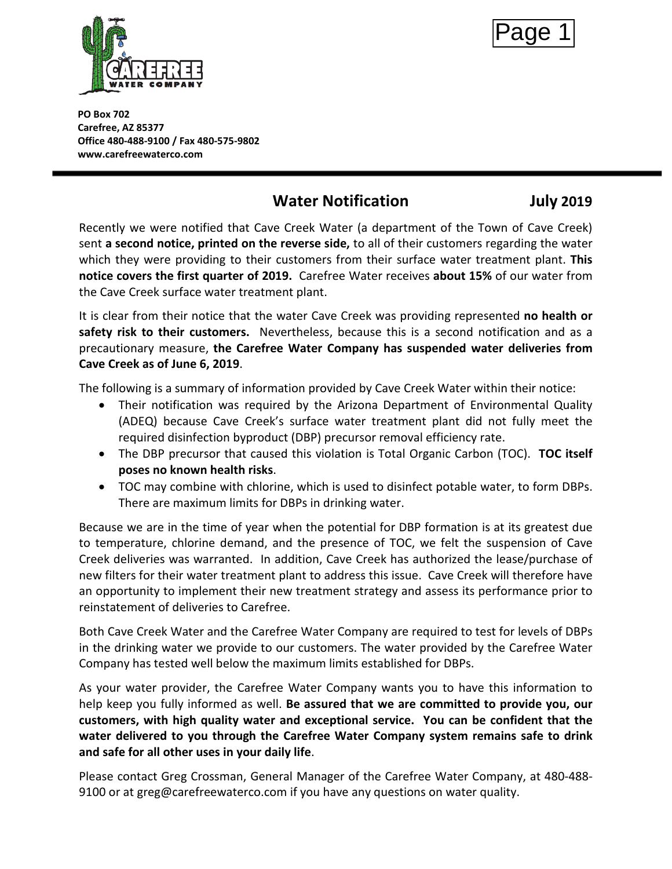



**PO Box 702 Carefree, AZ 85377 Office 480-488-9100 / Fax 480-575-9802 www.carefreewaterco.com**

## **Water Notification July 2019**

Recently we were notified that Cave Creek Water (a department of the Town of Cave Creek) sent **a second notice, printed on the reverse side,** to all of their customers regarding the water which they were providing to their customers from their surface water treatment plant. **This notice covers the first quarter of 2019.** Carefree Water receives **about 15%** of our water from the Cave Creek surface water treatment plant.

It is clear from their notice that the water Cave Creek was providing represented **no health or safety risk to their customers.** Nevertheless, because this is a second notification and as a precautionary measure, **the Carefree Water Company has suspended water deliveries from Cave Creek as of June 6, 2019**.

The following is a summary of information provided by Cave Creek Water within their notice:

- Their notification was required by the Arizona Department of Environmental Quality (ADEQ) because Cave Creek's surface water treatment plant did not fully meet the required disinfection byproduct (DBP) precursor removal efficiency rate.
- The DBP precursor that caused this violation is Total Organic Carbon (TOC). **TOC itself poses no known health risks**.
- TOC may combine with chlorine, which is used to disinfect potable water, to form DBPs. There are maximum limits for DBPs in drinking water.

Because we are in the time of year when the potential for DBP formation is at its greatest due to temperature, chlorine demand, and the presence of TOC, we felt the suspension of Cave Creek deliveries was warranted. In addition, Cave Creek has authorized the lease/purchase of new filters for their water treatment plant to address this issue. Cave Creek will therefore have an opportunity to implement their new treatment strategy and assess its performance prior to reinstatement of deliveries to Carefree.

Both Cave Creek Water and the Carefree Water Company are required to test for levels of DBPs in the drinking water we provide to our customers. The water provided by the Carefree Water Company has tested well below the maximum limits established for DBPs.

As your water provider, the Carefree Water Company wants you to have this information to help keep you fully informed as well. **Be assured that we are committed to provide you, our customers, with high quality water and exceptional service. You can be confident that the water delivered to you through the Carefree Water Company system remains safe to drink and safe for all other uses in your daily life**.

Please contact Greg Crossman, General Manager of the Carefree Water Company, at 480-488- 9100 or at greg@carefreewaterco.com if you have any questions on water quality.